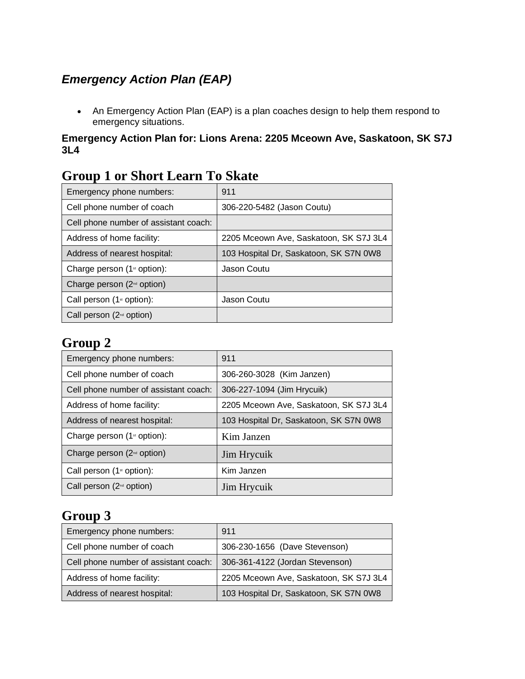### *Emergency Action Plan (EAP)*

• An Emergency Action Plan (EAP) is a plan coaches design to help them respond to emergency situations.

#### **Emergency Action Plan for: Lions Arena: 2205 Mceown Ave, Saskatoon, SK S7J 3L4**

| Stoup I of Bhort Ecarn To Braw          |                                        |
|-----------------------------------------|----------------------------------------|
| Emergency phone numbers:                | 911                                    |
| Cell phone number of coach              | 306-220-5482 (Jason Coutu)             |
| Cell phone number of assistant coach:   |                                        |
| Address of home facility:               | 2205 Mceown Ave, Saskatoon, SK S7J 3L4 |
| Address of nearest hospital:            | 103 Hospital Dr, Saskatoon, SK S7N 0W8 |
| Charge person (1 <sup>st</sup> option): | Jason Coutu                            |
| Charge person (2 <sup>nd</sup> option)  |                                        |
| Call person $(1st$ option):             | Jason Coutu                            |
| Call person $(2nd$ option)              |                                        |

### **Group 1 or Short Learn To Skate**

### **Group 2**

| Emergency phone numbers:                | 911                                    |
|-----------------------------------------|----------------------------------------|
| Cell phone number of coach              | 306-260-3028 (Kim Janzen)              |
| Cell phone number of assistant coach:   | 306-227-1094 (Jim Hrycuik)             |
| Address of home facility:               | 2205 Mceown Ave, Saskatoon, SK S7J 3L4 |
| Address of nearest hospital:            | 103 Hospital Dr, Saskatoon, SK S7N 0W8 |
| Charge person (1 <sup>st</sup> option): | Kim Janzen                             |
| Charge person $(2nd$ option)            | Jim Hrycuik                            |
| Call person $(1st$ option):             | Kim Janzen                             |
| Call person $(2nd$ option)              | Jim Hrycuik                            |

## **Group 3**

| Emergency phone numbers:              | 911                                    |
|---------------------------------------|----------------------------------------|
| Cell phone number of coach            | 306-230-1656 (Dave Stevenson)          |
| Cell phone number of assistant coach: | 306-361-4122 (Jordan Stevenson)        |
| Address of home facility:             | 2205 Mceown Ave, Saskatoon, SK S7J 3L4 |
| Address of nearest hospital:          | 103 Hospital Dr, Saskatoon, SK S7N 0W8 |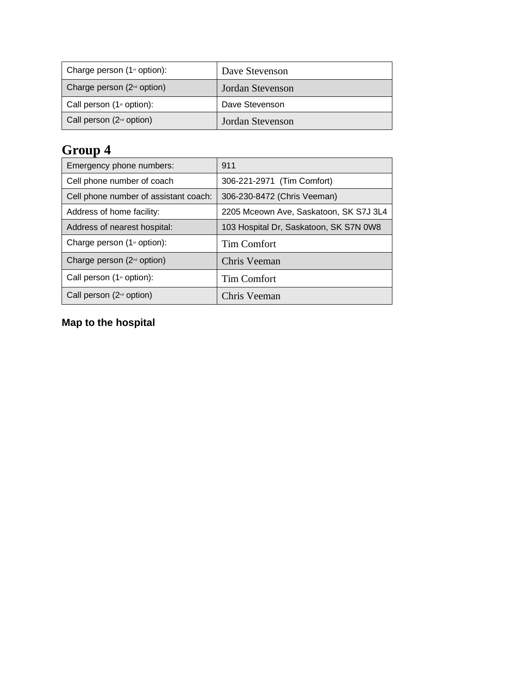| Charge person $(1st$ option):   | Dave Stevenson   |
|---------------------------------|------------------|
| Charge person $(2^{nd}$ option) | Jordan Stevenson |
| Call person $(1st$ option):     | Dave Stevenson   |
| Call person $(2^{nd}$ option)   | Jordan Stevenson |

# **Group 4**

| Emergency phone numbers:                  | 911                                    |
|-------------------------------------------|----------------------------------------|
| Cell phone number of coach                | 306-221-2971 (Tim Comfort)             |
| Cell phone number of assistant coach:     | 306-230-8472 (Chris Veeman)            |
| Address of home facility:                 | 2205 Mceown Ave, Saskatoon, SK S7J 3L4 |
| Address of nearest hospital:              | 103 Hospital Dr, Saskatoon, SK S7N 0W8 |
| Charge person $(1$ <sup>st</sup> option): | Tim Comfort                            |
| Charge person $(2nd$ option)              | Chris Veeman                           |
| Call person $(1st$ option):               | Tim Comfort                            |
| Call person $(2nd$ option)                | Chris Veeman                           |

## **Map to the hospital**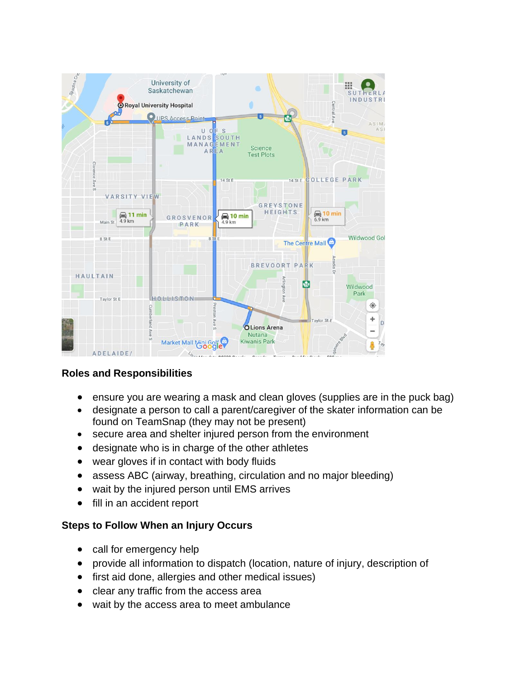

### **Roles and Responsibilities**

- ensure you are wearing a mask and clean gloves (supplies are in the puck bag)
- designate a person to call a parent/caregiver of the skater information can be found on TeamSnap (they may not be present)
- secure area and shelter injured person from the environment
- designate who is in charge of the other athletes
- wear gloves if in contact with body fluids
- assess ABC (airway, breathing, circulation and no major bleeding)
- wait by the injured person until EMS arrives
- fill in an accident report

#### **Steps to Follow When an Injury Occurs**

- call for emergency help
- provide all information to dispatch (location, nature of injury, description of
- first aid done, allergies and other medical issues)
- clear any traffic from the access area
- wait by the access area to meet ambulance